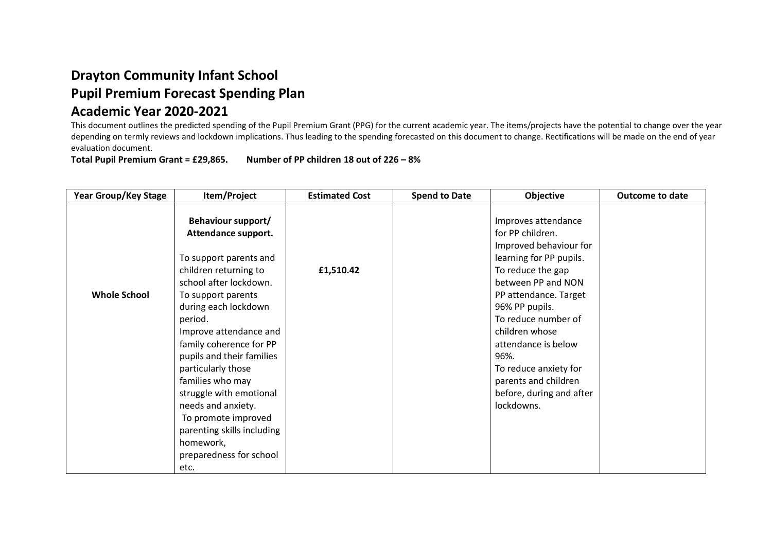## **Drayton Community Infant School Pupil Premium Forecast Spending Plan Academic Year 2020-2021**

This document outlines the predicted spending of the Pupil Premium Grant (PPG) for the current academic year. The items/projects have the potential to change over the year depending on termly reviews and lockdown implications. Thus leading to the spending forecasted on this document to change. Rectifications will be made on the end of year evaluation document.

## **Total Pupil Premium Grant = £29,865. Number of PP children 18 out of 226 – 8%**

| <b>Year Group/Key Stage</b> | Item/Project                                                                   | <b>Estimated Cost</b> | <b>Spend to Date</b> | Objective                                                                                    | <b>Outcome to date</b> |
|-----------------------------|--------------------------------------------------------------------------------|-----------------------|----------------------|----------------------------------------------------------------------------------------------|------------------------|
|                             | <b>Behaviour support/</b><br>Attendance support.                               |                       |                      | Improves attendance<br>for PP children.                                                      |                        |
|                             | To support parents and<br>children returning to<br>school after lockdown.      | £1,510.42             |                      | Improved behaviour for<br>learning for PP pupils.<br>To reduce the gap<br>between PP and NON |                        |
| <b>Whole School</b>         | To support parents<br>during each lockdown<br>period.                          |                       |                      | PP attendance. Target<br>96% PP pupils.<br>To reduce number of                               |                        |
|                             | Improve attendance and<br>family coherence for PP<br>pupils and their families |                       |                      | children whose<br>attendance is below<br>96%.                                                |                        |
|                             | particularly those<br>families who may                                         |                       |                      | To reduce anxiety for<br>parents and children                                                |                        |
|                             | struggle with emotional<br>needs and anxiety.<br>To promote improved           |                       |                      | before, during and after<br>lockdowns.                                                       |                        |
|                             | parenting skills including<br>homework,<br>preparedness for school             |                       |                      |                                                                                              |                        |
|                             | etc.                                                                           |                       |                      |                                                                                              |                        |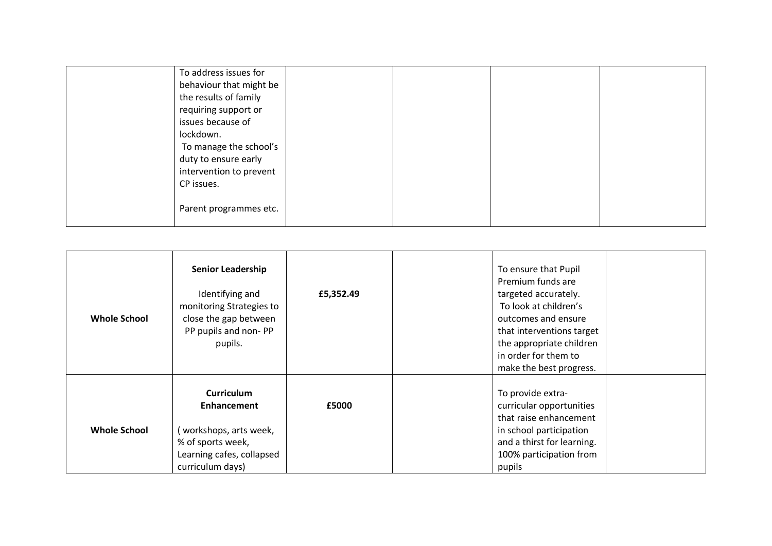| To address issues for   |  |  |
|-------------------------|--|--|
| behaviour that might be |  |  |
| the results of family   |  |  |
| requiring support or    |  |  |
| issues because of       |  |  |
| lockdown.               |  |  |
| To manage the school's  |  |  |
| duty to ensure early    |  |  |
| intervention to prevent |  |  |
| CP issues.              |  |  |
|                         |  |  |
| Parent programmes etc.  |  |  |
|                         |  |  |

| <b>Whole School</b> | <b>Senior Leadership</b><br>Identifying and<br>monitoring Strategies to<br>close the gap between<br>PP pupils and non-PP<br>pupils. | £5,352.49 | To ensure that Pupil<br>Premium funds are<br>targeted accurately.<br>To look at children's<br>outcomes and ensure<br>that interventions target<br>the appropriate children<br>in order for them to<br>make the best progress. |
|---------------------|-------------------------------------------------------------------------------------------------------------------------------------|-----------|-------------------------------------------------------------------------------------------------------------------------------------------------------------------------------------------------------------------------------|
| <b>Whole School</b> | <b>Curriculum</b><br>Enhancement<br>workshops, arts week,<br>% of sports week,<br>Learning cafes, collapsed<br>curriculum days)     | £5000     | To provide extra-<br>curricular opportunities<br>that raise enhancement<br>in school participation<br>and a thirst for learning.<br>100% participation from<br>pupils                                                         |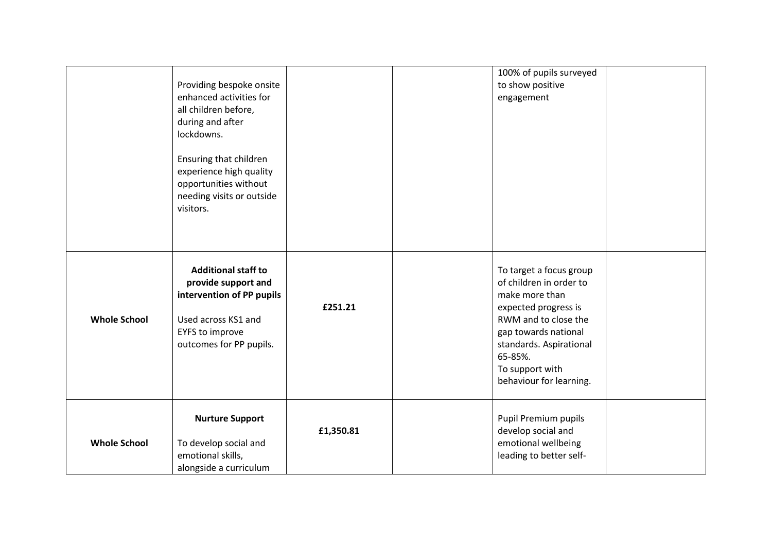|                     | Providing bespoke onsite<br>enhanced activities for<br>all children before,<br>during and after<br>lockdowns.<br>Ensuring that children<br>experience high quality<br>opportunities without<br>needing visits or outside<br>visitors. |           | 100% of pupils surveyed<br>to show positive<br>engagement                                                                                                                                                                        |  |
|---------------------|---------------------------------------------------------------------------------------------------------------------------------------------------------------------------------------------------------------------------------------|-----------|----------------------------------------------------------------------------------------------------------------------------------------------------------------------------------------------------------------------------------|--|
| <b>Whole School</b> | <b>Additional staff to</b><br>provide support and<br>intervention of PP pupils<br>Used across KS1 and<br>EYFS to improve<br>outcomes for PP pupils.                                                                                   | £251.21   | To target a focus group<br>of children in order to<br>make more than<br>expected progress is<br>RWM and to close the<br>gap towards national<br>standards. Aspirational<br>65-85%.<br>To support with<br>behaviour for learning. |  |
| <b>Whole School</b> | <b>Nurture Support</b><br>To develop social and<br>emotional skills,<br>alongside a curriculum                                                                                                                                        | £1,350.81 | Pupil Premium pupils<br>develop social and<br>emotional wellbeing<br>leading to better self-                                                                                                                                     |  |